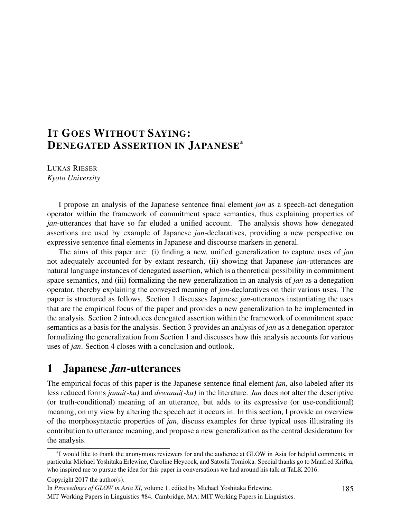# IT GOES WITHOUT SAYING: DENEGATED ASSERTION IN JAPANESE\*

LUKAS RIESER *Kyoto University*

I propose an analysis of the Japanese sentence final element *jan* as a speech-act denegation operator within the framework of commitment space semantics, thus explaining properties of *jan*-utterances that have so far eluded a unified account. The analysis shows how denegated assertions are used by example of Japanese *jan*-declaratives, providing a new perspective on expressive sentence final elements in Japanese and discourse markers in general.

The aims of this paper are: (i) finding a new, unified generalization to capture uses of *jan* not adequately accounted for by extant research, (ii) showing that Japanese *jan*-utterances are natural language instances of denegated assertion, which is a theoretical possibility in commitment space semantics, and (iii) formalizing the new generalization in an analysis of *jan* as a denegation operator, thereby explaining the conveyed meaning of *jan*-declaratives on their various uses. The paper is structured as follows. Section 1 discusses Japanese *jan*-utterances instantiating the uses that are the empirical focus of the paper and provides a new generalization to be implemented in the analysis. Section 2 introduces denegated assertion within the framework of commitment space semantics as a basis for the analysis. Section 3 provides an analysis of *jan* as a denegation operator formalizing the generalization from Section 1 and discusses how this analysis accounts for various uses of *jan*. Section 4 closes with a conclusion and outlook.

# 1 Japanese *Jan*-utterances

The empirical focus of this paper is the Japanese sentence final element *jan*, also labeled after its less reduced forms *janai(-ka)* and *dewanai(-ka)* in the literature. *Jan* does not alter the descriptive (or truth-conditional) meaning of an utterance, but adds to its expressive (or use-conditional) meaning, on my view by altering the speech act it occurs in. In this section, I provide an overview of the morphosyntactic properties of *jan*, discuss examples for three typical uses illustrating its contribution to utterance meaning, and propose a new generalization as the central desideratum for the analysis.

Copyright 2017 the author(s).

<sup>\*</sup>I would like to thank the anonymous reviewers for and the audience at GLOW in Asia for helpful comments, in particular Michael Yoshitaka Erlewine, Caroline Heycock, and Satoshi Tomioka. Special thanks go to Manfred Krifka, who inspired me to pursue the idea for this paper in conversations we had around his talk at TaLK 2016.

In *Proceedings of GLOW in Asia XI*, volume 1, edited by Michael Yoshitaka Erlewine.

MIT Working Papers in Linguistics #84. Cambridge, MA: MIT Working Papers in Linguistics.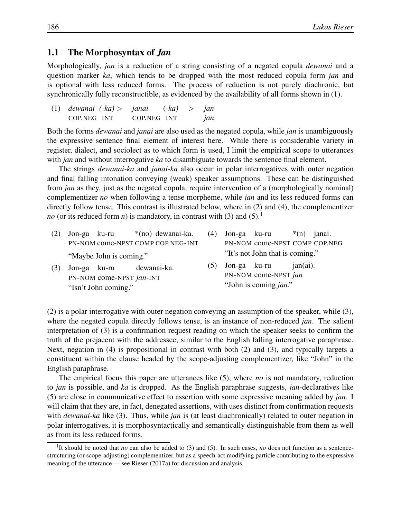### 1.1 The Morphosyntax of *Jan*

Morphologically, *jan* is a reduction of a string consisting of a negated copula *dewanai* and a question marker *ka*, which tends to be dropped with the most reduced copula form *jan* and is optional with less reduced forms. The process of reduction is not purely diachronic, but synchronically fully reconstructible, as evidenced by the availability of all forms shown in (1).

| $(1)$ dewanai $(-ka) >$ janai | $(-ka)$ > jan |     |
|-------------------------------|---------------|-----|
| COP.NEG INT                   | COP.NEG INT   | jan |

Both the forms *dewanai* and *janai* are also used as the negated copula, while *jan* is unambiguously the expressive sentence final element of interest here. While there is considerable variety in register, dialect, and sociolect as to which form is used, I limit the empirical scope to utterances with *jan* and without interrogative *ka* to disambiguate towards the sentence final element.

The strings *dewanai-ka* and *janai-ka* also occur in polar interrogatives with outer negation and final falling intonation conveying (weak) speaker assumptions. These can be distinguished from *jan* as they, just as the negated copula, require intervention of a (morphologically nominal) complementizer *no* when following a tense morpheme, while *jan* and its less reduced forms can directly follow tense. This contrast is illustrated below, where in (2) and (4), the complementizer *no* (or its reduced form *n*) is mandatory, in contrast with (3) and (5).<sup>1</sup>

- (2) Jon-ga ku-ru PN-NOM come-NPST COMP COP.NEG-INT \*(no) dewanai-ka. "Maybe John is coming." (3) Jon-ga ku-ru dewanai-ka. (4) Jon-ga ku-ru PN-NOM come-NPST COMP COP.NEG \*(n) janai. "It's not John that is coming." (5) Jon-ga ku-ru jan(ai).
- PN-NOM come-NPST *jan*-INT "Isn't John coming."
- PN-NOM come-NPST *jan* "John is coming *jan*."

(2) is a polar interrogative with outer negation conveying an assumption of the speaker, while (3), where the negated copula directly follows tense, is an instance of non-reduced *jan*. The salient interpretation of (3) is a confirmation request reading on which the speaker seeks to confirm the truth of the prejacent with the addressee, similar to the English falling interrogative paraphrase. Next, negation in (4) is propositional in contrast with both (2) and (3), and typically targets a constituent within the clause headed by the scope-adjusting complementizer, like "John" in the English paraphrase.

The empirical focus this paper are utterances like (5), where *no* is not mandatory, reduction to *jan* is possible, and *ka* is dropped. As the English paraphrase suggests, *jan*-declaratives like (5) are close in communicative effect to assertion with some expressive meaning added by *jan*. I will claim that they are, in fact, denegated assertions, with uses distinct from confirmation requests with *dewanai-ka* like (3). Thus, while *jan* is (at least diachronically) related to outer negation in polar interrogatives, it is morphosyntactically and semantically distinguishable from them as well as from its less reduced forms.

<sup>&</sup>lt;sup>1</sup>It should be noted that *no* can also be added to (3) and (5). In such cases, *no* does not function as a sentencestructuring (or scope-adjusting) complementizer, but as a speech-act modifying particle contributing to the expressive meaning of the utterance — see Rieser (2017a) for discussion and analysis.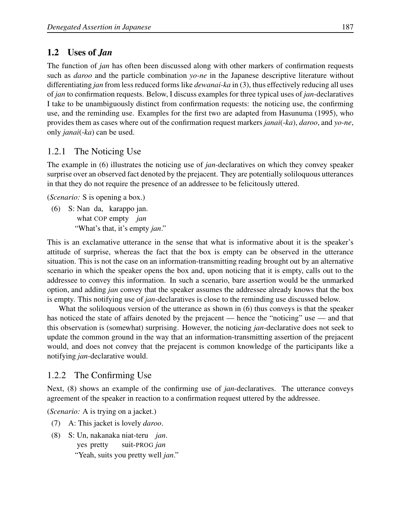## 1.2 Uses of *Jan*

The function of *jan* has often been discussed along with other markers of confirmation requests such as *daroo* and the particle combination *yo-ne* in the Japanese descriptive literature without differentiating *jan* from less reduced forms like *dewanai-ka* in (3), thus effectively reducing all uses of *jan* to confirmation requests. Below, I discuss examples for three typical uses of *jan*-declaratives I take to be unambiguously distinct from confirmation requests: the noticing use, the confirming use, and the reminding use. Examples for the first two are adapted from Hasunuma (1995), who provides them as cases where out of the confirmation request markers *janai*(-*ka*), *daroo*, and *yo-ne*, only *janai*(-*ka*) can be used.

## 1.2.1 The Noticing Use

The example in (6) illustrates the noticing use of *jan*-declaratives on which they convey speaker surprise over an observed fact denoted by the prejacent. They are potentially soliloquous utterances in that they do not require the presence of an addressee to be felicitously uttered.

(*Scenario:* S is opening a box.)

(6) S: Nan da, karappo jan. what COP empty *jan* "What's that, it's empty *jan*."

This is an exclamative utterance in the sense that what is informative about it is the speaker's attitude of surprise, whereas the fact that the box is empty can be observed in the utterance situation. This is not the case on an information-transmitting reading brought out by an alternative scenario in which the speaker opens the box and, upon noticing that it is empty, calls out to the addressee to convey this information. In such a scenario, bare assertion would be the unmarked option, and adding *jan* convey that the speaker assumes the addressee already knows that the box is empty. This notifying use of *jan*-declaratives is close to the reminding use discussed below.

What the soliloquous version of the utterance as shown in (6) thus conveys is that the speaker has noticed the state of affairs denoted by the prejacent — hence the "noticing" use — and that this observation is (somewhat) surprising. However, the noticing *jan*-declarative does not seek to update the common ground in the way that an information-transmitting assertion of the prejacent would, and does not convey that the prejacent is common knowledge of the participants like a notifying *jan*-declarative would.

## 1.2.2 The Confirming Use

Next, (8) shows an example of the confirming use of *jan*-declaratives. The utterance conveys agreement of the speaker in reaction to a confirmation request uttered by the addressee.

(*Scenario:* A is trying on a jacket.)

- (7) A: This jacket is lovely *daroo*.
- (8) S: Un, nakanaka niat-teru *jan*. yes pretty suit-PROG *jan* "Yeah, suits you pretty well *jan*."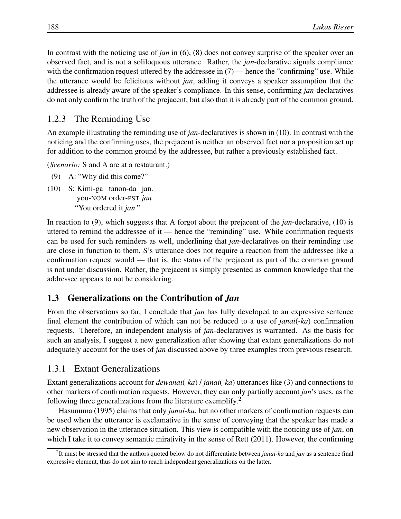In contrast with the noticing use of *jan* in (6), (8) does not convey surprise of the speaker over an observed fact, and is not a soliloquous utterance. Rather, the *jan*-declarative signals compliance with the confirmation request uttered by the addressee in  $(7)$  — hence the "confirming" use. While the utterance would be felicitous without *jan*, adding it conveys a speaker assumption that the addressee is already aware of the speaker's compliance. In this sense, confirming *jan*-declaratives do not only confirm the truth of the prejacent, but also that it is already part of the common ground.

### 1.2.3 The Reminding Use

An example illustrating the reminding use of *jan*-declaratives is shown in (10). In contrast with the noticing and the confirming uses, the prejacent is neither an observed fact nor a proposition set up for addition to the common ground by the addressee, but rather a previously established fact.

(*Scenario:* S and A are at a restaurant.)

- (9) A: "Why did this come?"
- (10) S: Kimi-ga tanon-da jan. you-NOM order-PST *jan* "You ordered it *jan*."

In reaction to (9), which suggests that A forgot about the prejacent of the *jan*-declarative, (10) is uttered to remind the addressee of it — hence the "reminding" use. While confirmation requests can be used for such reminders as well, underlining that *jan*-declaratives on their reminding use are close in function to them, S's utterance does not require a reaction from the addressee like a confirmation request would — that is, the status of the prejacent as part of the common ground is not under discussion. Rather, the prejacent is simply presented as common knowledge that the addressee appears to not be considering.

### 1.3 Generalizations on the Contribution of *Jan*

From the observations so far, I conclude that *jan* has fully developed to an expressive sentence final element the contribution of which can not be reduced to a use of *janai*(-*ka*) confirmation requests. Therefore, an independent analysis of *jan*-declaratives is warranted. As the basis for such an analysis, I suggest a new generalization after showing that extant generalizations do not adequately account for the uses of *jan* discussed above by three examples from previous research.

### 1.3.1 Extant Generalizations

Extant generalizations account for *dewanai*(-*ka*) / *janai*(-*ka*) utterances like (3) and connections to other markers of confirmation requests. However, they can only partially account *jan*'s uses, as the following three generalizations from the literature exemplify.<sup>2</sup>

Hasunuma (1995) claims that only *janai-ka*, but no other markers of confirmation requests can be used when the utterance is exclamative in the sense of conveying that the speaker has made a new observation in the utterance situation. This view is compatible with the noticing use of *jan*, on which I take it to convey semantic mirativity in the sense of Rett (2011). However, the confirming

<sup>2</sup> It must be stressed that the authors quoted below do not differentiate between *janai-ka* and *jan* as a sentence final expressive element, thus do not aim to reach independent generalizations on the latter.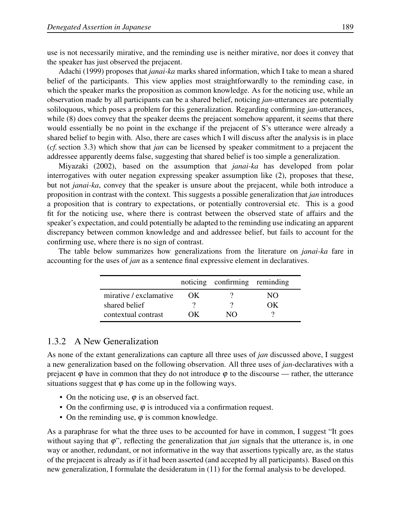use is not necessarily mirative, and the reminding use is neither mirative, nor does it convey that the speaker has just observed the prejacent.

Adachi (1999) proposes that *janai-ka* marks shared information, which I take to mean a shared belief of the participants. This view applies most straightforwardly to the reminding case, in which the speaker marks the proposition as common knowledge. As for the noticing use, while an observation made by all participants can be a shared belief, noticing *jan*-utterances are potentially soliloquous, which poses a problem for this generalization. Regarding confirming *jan*-utterances, while (8) does convey that the speaker deems the prejacent somehow apparent, it seems that there would essentially be no point in the exchange if the prejacent of S's utterance were already a shared belief to begin with. Also, there are cases which I will discuss after the analysis is in place (*cf.*section 3.3) which show that *jan* can be licensed by speaker commitment to a prejacent the addressee apparently deems false, suggesting that shared belief is too simple a generalization.

Miyazaki (2002), based on the assumption that *janai-ka* has developed from polar interrogatives with outer negation expressing speaker assumption like (2), proposes that these, but not *janai-ka*, convey that the speaker is unsure about the prejacent, while both introduce a proposition in contrast with the context. This suggests a possible generalization that *jan* introduces a proposition that is contrary to expectations, or potentially controversial etc. This is a good fit for the noticing use, where there is contrast between the observed state of affairs and the speaker's expectation, and could potentially be adapted to the reminding use indicating an apparent discrepancy between common knowledge and and addressee belief, but fails to account for the confirming use, where there is no sign of contrast.

The table below summarizes how generalizations from the literature on *janai-ka* fare in accounting for the uses of *jan* as a sentence final expressive element in declaratives.

|                        |     | noticing confirming reminding |       |
|------------------------|-----|-------------------------------|-------|
| mirative / exclamative | OK. |                               | NΩ    |
| shared belief          |     |                               | I ) K |
| contextual contrast    | OK) | NΩ                            |       |

## 1.3.2 A New Generalization

As none of the extant generalizations can capture all three uses of *jan* discussed above, I suggest a new generalization based on the following observation. All three uses of *jan*-declaratives with a prejacent  $\varphi$  have in common that they do not introduce  $\varphi$  to the discourse — rather, the utterance situations suggest that  $\varphi$  has come up in the following ways.

- On the noticing use,  $\varphi$  is an observed fact.
- On the confirming use,  $\varphi$  is introduced via a confirmation request.
- On the reminding use,  $\varphi$  is common knowledge.

As a paraphrase for what the three uses to be accounted for have in common, I suggest "It goes without saying that  $\varphi$ ", reflecting the generalization that *jan* signals that the utterance is, in one way or another, redundant, or not informative in the way that assertions typically are, as the status of the prejacent is already as if it had been asserted (and accepted by all participants). Based on this new generalization, I formulate the desideratum in (11) for the formal analysis to be developed.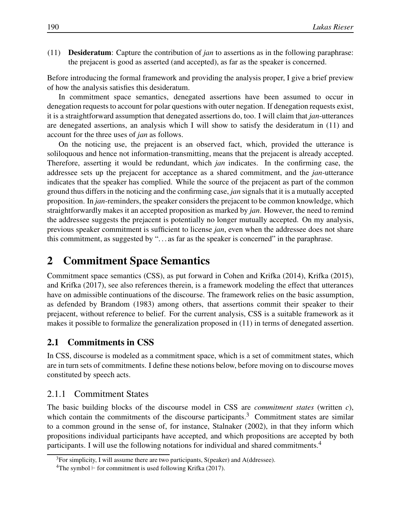(11) Desideratum: Capture the contribution of *jan* to assertions as in the following paraphrase: the prejacent is good as asserted (and accepted), as far as the speaker is concerned.

Before introducing the formal framework and providing the analysis proper, I give a brief preview of how the analysis satisfies this desideratum.

In commitment space semantics, denegated assertions have been assumed to occur in denegation requests to account for polar questions with outer negation. If denegation requests exist, it is a straightforward assumption that denegated assertions do, too. I will claim that *jan*-utterances are denegated assertions, an analysis which I will show to satisfy the desideratum in (11) and account for the three uses of *jan* as follows.

On the noticing use, the prejacent is an observed fact, which, provided the utterance is soliloquous and hence not information-transmitting, means that the prejacent is already accepted. Therefore, asserting it would be redundant, which *jan* indicates. In the confirming case, the addressee sets up the prejacent for acceptance as a shared commitment, and the *jan*-utterance indicates that the speaker has complied. While the source of the prejacent as part of the common ground thus differs in the noticing and the confirming case, *jan* signals that it is a mutually accepted proposition. In *jan*-reminders, the speaker considers the prejacent to be common knowledge, which straightforwardly makes it an accepted proposition as marked by *jan*. However, the need to remind the addressee suggests the prejacent is potentially no longer mutually accepted. On my analysis, previous speaker commitment is sufficient to license *jan*, even when the addressee does not share this commitment, as suggested by ". . . as far as the speaker is concerned" in the paraphrase.

## 2 Commitment Space Semantics

Commitment space semantics (CSS), as put forward in Cohen and Krifka (2014), Krifka (2015), and Krifka (2017), see also references therein, is a framework modeling the effect that utterances have on admissible continuations of the discourse. The framework relies on the basic assumption, as defended by Brandom (1983) among others, that assertions commit their speaker to their prejacent, without reference to belief. For the current analysis, CSS is a suitable framework as it makes it possible to formalize the generalization proposed in (11) in terms of denegated assertion.

### 2.1 Commitments in CSS

In CSS, discourse is modeled as a commitment space, which is a set of commitment states, which are in turn sets of commitments. I define these notions below, before moving on to discourse moves constituted by speech acts.

#### 2.1.1 Commitment States

The basic building blocks of the discourse model in CSS are *commitment states* (written *c*), which contain the commitments of the discourse participants.<sup>3</sup> Commitment states are similar to a common ground in the sense of, for instance, Stalnaker (2002), in that they inform which propositions individual participants have accepted, and which propositions are accepted by both participants. I will use the following notations for individual and shared commitments.<sup>4</sup>

 $3$ For simplicity, I will assume there are two participants, S(peaker) and A(ddressee).

<sup>&</sup>lt;sup>4</sup>The symbol ⊢ for commitment is used following Krifka (2017).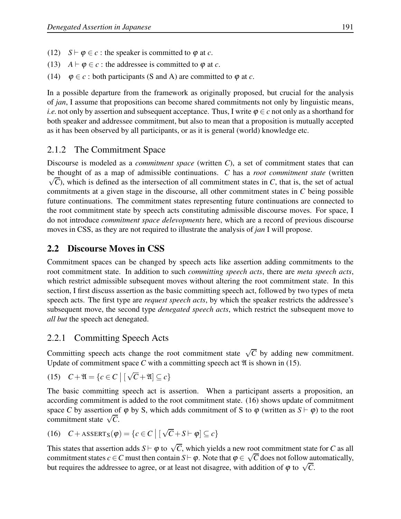- (12) *S* ⊢  $\varphi \in c$  : the speaker is committed to  $\varphi$  at *c*.
- (13) *A*  $\vdash \varphi \in c$ : the addressee is committed to  $\varphi$  at *c*.
- (14)  $\varphi \in c$ : both participants (S and A) are committed to  $\varphi$  at *c*.

In a possible departure from the framework as originally proposed, but crucial for the analysis of *jan*, I assume that propositions can become shared commitments not only by linguistic means, *i.e.* not only by assertion and subsequent acceptance. Thus, I write  $\varphi \in c$  not only as a shorthand for both speaker and addressee commitment, but also to mean that a proposition is mutually accepted as it has been observed by all participants, or as it is general (world) knowledge etc.

## 2.1.2 The Commitment Space

Discourse is modeled as a *commitment space* (written *C*), a set of commitment states that can be thought of as a map of admissible continuations. *C* has a *root commitment state* (written  $\sqrt{C}$ ), which is defined as the intersection of all commitment states in *C*, that is, the set of actual commitments at a given stage in the discourse, all other commitment states in *C* being possible future continuations. The commitment states representing future continuations are connected to the root commitment state by speech acts constituting admissible discourse moves. For space, I do not introduce *commitment space delevopments* here, which are a record of previous discourse moves in CSS, as they are not required to illustrate the analysis of *jan* I will propose.

## 2.2 Discourse Moves in CSS

Commitment spaces can be changed by speech acts like assertion adding commitments to the root commitment state. In addition to such *committing speech acts*, there are *meta speech acts*, which restrict admissible subsequent moves without altering the root commitment state. In this section, I first discuss assertion as the basic committing speech act, followed by two types of meta speech acts. The first type are *request speech acts*, by which the speaker restricts the addressee's subsequent move, the second type *denegated speech acts*, which restrict the subsequent move to *all but* the speech act denegated.

## 2.2.1 Committing Speech Acts

Committing speech acts change the root commitment state  $\sqrt{C}$  by adding new commitment. Update of commitment space  $C$  with a committing speech act  $\mathfrak A$  is shown in (15).

(15) 
$$
C + \mathfrak{A} = \{c \in C \mid [\sqrt{C} + \mathfrak{A}] \subseteq c\}
$$

The basic committing speech act is assertion. When a participant asserts a proposition, an according commitment is added to the root commitment state. (16) shows update of commitment space *C* by assertion of  $\varphi$  by S, which adds commitment of S to  $\varphi$  (written as  $S \vdash \varphi$ ) to the root commitment state  $\sqrt{C}$ .

(16)  $C + ASBERT_S(\varphi) = \{c \in C \mid [\sqrt{C} + S \vdash \varphi] \subseteq c\}$ 

This states that assertion adds  $S \vdash \varphi$  to  $\sqrt{C}$ , which yields a new root commitment state for *C* as all commitment states  $c \in C$  must then contain  $S \vdash \varphi$ . Note that  $\varphi \in \sqrt{C}$  does not follow automatically, but requires the addressee to agree, or at least not disagree, with addition of  $\varphi$  to  $\sqrt{C}$ .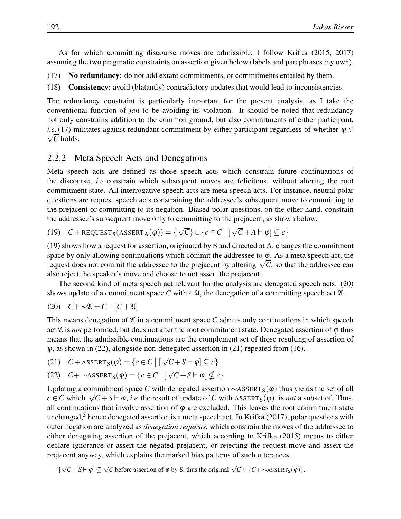As for which committing discourse moves are admissible, I follow Krifka (2015, 2017) assuming the two pragmatic constraints on assertion given below (labels and paraphrases my own).

- (17) No redundancy: do not add extant commitments, or commitments entailed by them.
- (18) Consistency: avoid (blatantly) contradictory updates that would lead to inconsistencies.

The redundancy constraint is particularly important for the present analysis, as I take the conventional function of *jan* to be avoiding its violation. It should be noted that redundancy not only constrains addition to the common ground, but also commitments of either participant,  $\sqrt{C}$  holds. *i.e.*(17) militates against redundant commitment by either participant regardless of whether  $\varphi \in$ 

### 2.2.2 Meta Speech Acts and Denegations

Meta speech acts are defined as those speech acts which constrain future continuations of the discourse, *i.e.* constrain which subsequent moves are felicitous, without altering the root commitment state. All interrogative speech acts are meta speech acts. For instance, neutral polar questions are request speech acts constraining the addressee's subsequent move to committing to the prejacent or committing to its negation. Biased polar questions, on the other hand, constrain the addressee's subsequent move only to committing to the prejacent, as shown below.

(19) 
$$
C + \text{REQUEST}_S(\text{ASSERT}_A(\varphi)) = \{ \sqrt{C} \} \cup \{ c \in C \mid [\sqrt{C} + A \vdash \varphi] \subseteq c \}
$$

(19) shows how a request for assertion, originated by S and directed at A, changes the commitment space by only allowing continuations which commit the addressee to  $\varphi$ . As a meta speech act, the request does not commit the addressee to the prejacent by altering  $\sqrt{C}$ , so that the addressee can also reject the speaker's move and choose to not assert the prejacent.

The second kind of meta speech act relevant for the analysis are denegated speech acts. (20) shows update of a commitment space *C* with  $\sim$ l, the denegation of a committing speech act l.

$$
(20) \quad C + \sim \mathfrak{A} = C - [C + \mathfrak{A}]
$$

This means denegation of  $\mathfrak A$  in a commitment space  $C$  admits only continuations in which speech act  $\mathfrak A$  is *not* performed, but does not alter the root commitment state. Denegated assertion of  $\varphi$  thus means that the admissible continuations are the complement set of those resulting of assertion of  $\varphi$ , as shown in (22), alongside non-denegated assertion in (21) repeated from (16).

(21) 
$$
C + ASBERT_S(\varphi) = \{c \in C \mid [\sqrt{C} + S \vdash \varphi] \subseteq c\}
$$

(22) 
$$
C + \sim \text{ASBERT}_{S}(\varphi) = \{c \in C \mid [\sqrt{C} + S \vdash \varphi] \nsubseteq c\}
$$

Updating a commitment space *C* with denegated assertion  $\sim$ ASSERT<sub>S</sub>( $\phi$ ) thus yields the set of all  $c \in C$  which  $\sqrt{C} + S \vdash \varphi$ , *i.e.* the result of update of *C* with ASSERT<sub>S</sub>( $\varphi$ ), is *not* a subset of. Thus, all continuations that involve assertion of  $\varphi$  are excluded. This leaves the root commitment state unchanged,<sup>5</sup> hence denegated assertion is a meta speech act. In Krifka (2017), polar questions with outer negation are analyzed as *denegation requests*, which constrain the moves of the addressee to either denegating assertion of the prejacent, which according to Krifka (2015) means to either declare ignorance or assert the negated prejacent, or rejecting the request move and assert the prejacent anyway, which explains the marked bias patterns of such utterances.

 $\sqrt[5]{5}$   $\sqrt[5]{C} + S \vdash \varphi$   $\nsubseteq \sqrt{C}$  before assertion of  $\varphi$  by S, thus the original  $\sqrt{C} \in \{C + \sim \text{ASSENT}_S(\varphi)\}.$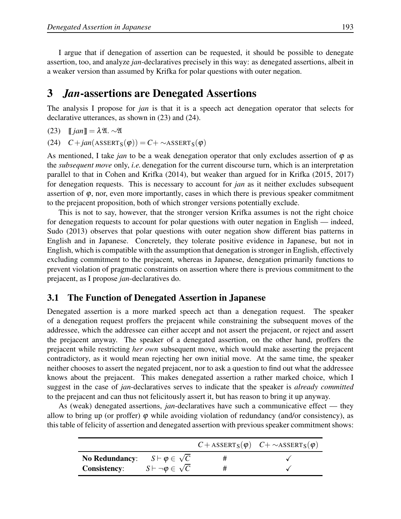I argue that if denegation of assertion can be requested, it should be possible to denegate assertion, too, and analyze *jan*-declaratives precisely in this way: as denegated assertions, albeit in a weaker version than assumed by Krifka for polar questions with outer negation.

## 3 *Jan*-assertions are Denegated Assertions

The analysis I propose for *jan* is that it is a speech act denegation operator that selects for declarative utterances, as shown in (23) and (24).

(23) 
$$
[[jan]] = \lambda \mathfrak{A}.\sim \mathfrak{A}
$$

 $(C4)$   $C + jan(ASSERT_S(\varphi)) = C + \sim ASSENT_S(\varphi)$ 

As mentioned, I take *jan* to be a weak denegation operator that only excludes assertion of  $\varphi$  as the *subsequent move* only, *i.e.* denegation for the current discourse turn, which is an interpretation parallel to that in Cohen and Krifka (2014), but weaker than argued for in Krifka (2015, 2017) for denegation requests. This is necessary to account for *jan* as it neither excludes subsequent assertion of  $\varphi$ , nor, even more importantly, cases in which there is previous speaker commitment to the prejacent proposition, both of which stronger versions potentially exclude.

This is not to say, however, that the stronger version Krifka assumes is not the right choice for denegation requests to account for polar questions with outer negation in English — indeed, Sudo (2013) observes that polar questions with outer negation show different bias patterns in English and in Japanese. Concretely, they tolerate positive evidence in Japanese, but not in English, which is compatible with the assumption that denegation is stronger in English, effectively excluding commitment to the prejacent, whereas in Japanese, denegation primarily functions to prevent violation of pragmatic constraints on assertion where there is previous commitment to the prejacent, as I propose *jan*-declaratives do.

### 3.1 The Function of Denegated Assertion in Japanese

Denegated assertion is a more marked speech act than a denegation request. The speaker of a denegation request proffers the prejacent while constraining the subsequent moves of the addressee, which the addressee can either accept and not assert the prejacent, or reject and assert the prejacent anyway. The speaker of a denegated assertion, on the other hand, proffers the prejacent while restricting *her own* subsequent move, which would make asserting the prejacent contradictory, as it would mean rejecting her own initial move. At the same time, the speaker neither chooses to assert the negated prejacent, nor to ask a question to find out what the addressee knows about the prejacent. This makes denegated assertion a rather marked choice, which I suggest in the case of *jan*-declaratives serves to indicate that the speaker is *already committed* to the prejacent and can thus not felicitously assert it, but has reason to bring it up anyway.

As (weak) denegated assertions, *jan*-declaratives have such a communicative effect — they allow to bring up (or proffer)  $\varphi$  while avoiding violation of redundancy (and/or consistency), as this table of felicity of assertion and denegated assertion with previous speaker commitment shows:

|                                                |                                | $C + ASBERT_S(\varphi)$ $C + \sim ASBERT_S(\varphi)$ |
|------------------------------------------------|--------------------------------|------------------------------------------------------|
| No Redundancy: $S \vdash \varphi \in \sqrt{C}$ |                                |                                                      |
| <b>Consistency:</b>                            | $S\vdash \neg \phi\in \sqrt C$ |                                                      |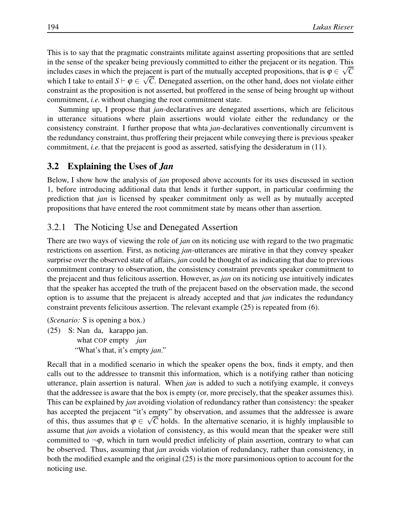This is to say that the pragmatic constraints militate against asserting propositions that are settled in the sense of the speaker being previously committed to either the prejacent or its negation. This includes cases in which the prejacent is part of the mutually accepted propositions, that is  $\varphi \in \sqrt{C}$ which I take to entail  $S \vdash \varphi \in \sqrt{C}$ . Denegated assertion, on the other hand, does not violate either constraint as the proposition is not asserted, but proffered in the sense of being brought up without commitment, *i.e.* without changing the root commitment state.

Summing up, I propose that *jan*-declaratives are denegated assertions, which are felicitous in utterance situations where plain assertions would violate either the redundancy or the consistency constraint. I further propose that whta *jan*-declaratives conventionally circumvent is the redundancy constraint, thus proffering their prejacent while conveying there is previous speaker commitment, *i.e.* that the prejacent is good as asserted, satisfying the desideratum in (11).

### 3.2 Explaining the Uses of *Jan*

Below, I show how the analysis of *jan* proposed above accounts for its uses discussed in section 1, before introducing additional data that lends it further support, in particular confirming the prediction that *jan* is licensed by speaker commitment only as well as by mutually accepted propositions that have entered the root commitment state by means other than assertion.

### 3.2.1 The Noticing Use and Denegated Assertion

There are two ways of viewing the role of *jan* on its noticing use with regard to the two pragmatic restrictions on assertion. First, as noticing *jan*-utterances are mirative in that they convey speaker surprise over the observed state of affairs, *jan* could be thought of as indicating that due to previous commitment contrary to observation, the consistency constraint prevents speaker commitment to the prejacent and thus felicitous assertion. However, as *jan* on its noticing use intuitively indicates that the speaker has accepted the truth of the prejacent based on the observation made, the second option is to assume that the prejacent is already accepted and that *jan* indicates the redundancy constraint prevents felicitous assertion. The relevant example (25) is repeated from (6).

(*Scenario:* S is opening a box.) (25) S: Nan da, karappo jan. what COP empty *jan* "What's that, it's empty *jan*."

Recall that in a modified scenario in which the speaker opens the box, finds it empty, and then calls out to the addressee to transmit this information, which is a notifying rather than noticing utterance, plain assertion is natural. When *jan* is added to such a notifying example, it conveys that the addressee is aware that the box is empty (or, more precisely, that the speaker assumes this). This can be explained by *jan* avoiding violation of redundancy rather than consistency: the speaker has accepted the prejacent "it's empty" by observation, and assumes that the addressee is aware of this, thus assumes that  $\varphi \in \sqrt{C}$  holds. In the alternative scenario, it is highly implausible to assume that *jan* avoids a violation of consistency, as this would mean that the speaker were still committed to  $\neg \varphi$ , which in turn would predict infelicity of plain assertion, contrary to what can be observed. Thus, assuming that *jan* avoids violation of redundancy, rather than consistency, in both the modified example and the original (25) is the more parsimonious option to account for the noticing use.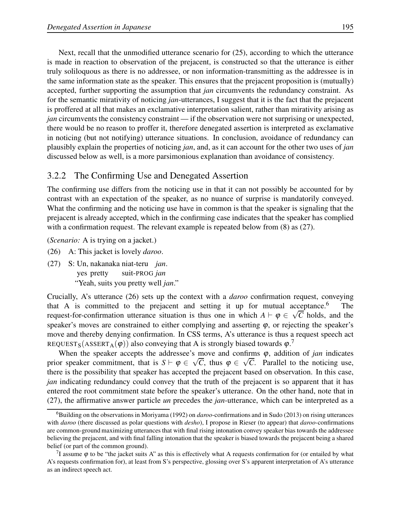Next, recall that the unmodified utterance scenario for (25), according to which the utterance is made in reaction to observation of the prejacent, is constructed so that the utterance is either truly soliloquous as there is no addressee, or non information-transmitting as the addressee is in the same information state as the speaker. This ensures that the prejacent proposition is (mutually) accepted, further supporting the assumption that *jan* circumvents the redundancy constraint. As for the semantic mirativity of noticing *jan*-utterances, I suggest that it is the fact that the prejacent is proffered at all that makes an exclamative interpretation salient, rather than mirativity arising as *jan* circumvents the consistency constraint — if the observation were not surprising or unexpected, there would be no reason to proffer it, therefore denegated assertion is interpreted as exclamative in noticing (but not notifying) utterance situations. In conclusion, avoidance of redundancy can plausibly explain the properties of noticing *jan*, and, as it can account for the other two uses of *jan* discussed below as well, is a more parsimonious explanation than avoidance of consistency.

## 3.2.2 The Confirming Use and Denegated Assertion

The confirming use differs from the noticing use in that it can not possibly be accounted for by contrast with an expectation of the speaker, as no nuance of surprise is mandatorily conveyed. What the confirming and the noticing use have in common is that the speaker is signaling that the prejacent is already accepted, which in the confirming case indicates that the speaker has complied with a confirmation request. The relevant example is repeated below from  $(8)$  as  $(27)$ .

(*Scenario:* A is trying on a jacket.)

- (26) A: This jacket is lovely *daroo*.
- (27) S: Un, nakanaka niat-teru *jan*. yes pretty suit-PROG *jan* "Yeah, suits you pretty well *jan*."

Crucially, A's utterance (26) sets up the context with a *daroo* confirmation request, conveying that A is committed to the prejacent and setting it up for mutual acceptance.<sup>6</sup> The request-for-confirmation utterance situation is thus one in which  $A \vdash \varphi \in \sqrt{C}$  holds, and the speaker's moves are constrained to either complying and asserting  $\varphi$ , or rejecting the speaker's move and thereby denying confirmation. In CSS terms, A's utterance is thus a request speech act REQUEST<sub>S</sub>(ASSERT<sub>A</sub>( $\varphi$ )) also conveying that A is strongly biased towards  $\varphi$ .<sup>7</sup>

When the speaker accepts the addressee's move and confirms  $\varphi$ , addition of *jan* indicates prior speaker commitment, that is  $S \vdash \varphi \in \sqrt{C}$ , thus  $\varphi \in \sqrt{C}$ . Parallel to the noticing use, there is the possibility that speaker has accepted the prejacent based on observation. In this case, *jan* indicating redundancy could convey that the truth of the prejacent is so apparent that it has entered the root commitment state before the speaker's utterance. On the other hand, note that in (27), the affirmative answer particle *un* precedes the *jan*-utterance, which can be interpreted as a

<sup>6</sup>Building on the observations in Moriyama (1992) on *daroo*-confirmations and in Sudo (2013) on rising utterances with *daroo* (there discussed as polar questions with *desho*), I propose in Rieser (to appear) that *daroo*-confirmations are common-ground maximizing utterances that with final rising intonation convey speaker bias towards the addressee believing the prejacent, and with final falling intonation that the speaker is biased towards the prejacent being a shared belief (or part of the common ground).

<sup>&</sup>lt;sup>7</sup>I assume  $\varphi$  to be "the jacket suits A" as this is effectively what A requests confirmation for (or entailed by what A's requests confirmation for), at least from S's perspective, glossing over S's apparent interpretation of A's utterance as an indirect speech act.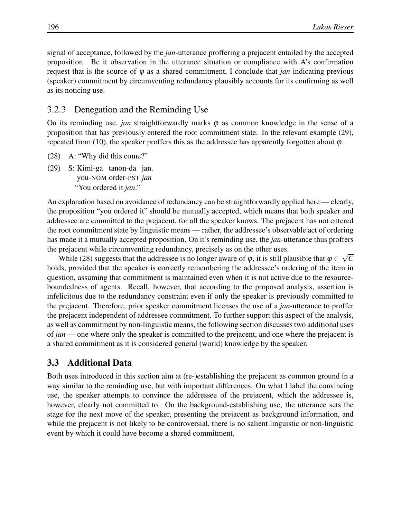signal of acceptance, followed by the *jan*-utterance proffering a prejacent entailed by the accepted proposition. Be it observation in the utterance situation or compliance with A's confirmation request that is the source of  $\varphi$  as a shared commitment, I conclude that *jan* indicating previous (speaker) commitment by circumventing redundancy plausibly accounts for its confirming as well as its noticing use.

### 3.2.3 Denegation and the Reminding Use

On its reminding use, *jan* straightforwardly marks  $\varphi$  as common knowledge in the sense of a proposition that has previously entered the root commitment state. In the relevant example (29), repeated from (10), the speaker proffers this as the addressee has apparently forgotten about  $\varphi$ .

- (28) A: "Why did this come?"
- (29) S: Kimi-ga tanon-da jan. you-NOM order-PST *jan* "You ordered it *jan*."

An explanation based on avoidance of redundancy can be straightforwardly applied here — clearly, the proposition "you ordered it" should be mutually accepted, which means that both speaker and addressee are committed to the prejacent, for all the speaker knows. The prejacent has not entered the root commitment state by linguistic means — rather, the addressee's observable act of ordering has made it a mutually accepted proposition. On it's reminding use, the *jan*-utterance thus proffers the prejacent while circumventing redundancy, precisely as on the other uses.

While (28) suggests that the addressee is no longer aware of  $\varphi$ , it is still plausible that  $\varphi \in \sqrt{C}$ holds, provided that the speaker is correctly remembering the addressee's ordering of the item in question, assuming that commitment is maintained even when it is not active due to the resourceboundedness of agents. Recall, however, that according to the proposed analysis, assertion is infelicitous due to the redundancy constraint even if only the speaker is previously committed to the prejacent. Therefore, prior speaker commitment licenses the use of a *jan*-utterance to proffer the prejacent independent of addressee commitment. To further support this aspect of the analysis, as well as commitment by non-linguistic means, the following section discusses two additional uses of *jan* — one where only the speaker is committed to the prejacent, and one where the prejacent is a shared commitment as it is considered general (world) knowledge by the speaker.

### 3.3 Additional Data

Both uses introduced in this section aim at (re-)establishing the prejacent as common ground in a way similar to the reminding use, but with important differences. On what I label the convincing use, the speaker attempts to convince the addressee of the prejacent, which the addressee is, however, clearly not committed to. On the background-establishing use, the utterance sets the stage for the next move of the speaker, presenting the prejacent as background information, and while the prejacent is not likely to be controversial, there is no salient linguistic or non-linguistic event by which it could have become a shared commitment.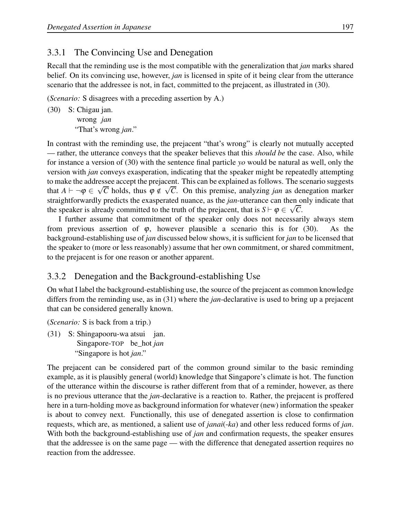## 3.3.1 The Convincing Use and Denegation

Recall that the reminding use is the most compatible with the generalization that *jan* marks shared belief. On its convincing use, however, *jan* is licensed in spite of it being clear from the utterance scenario that the addressee is not, in fact, committed to the prejacent, as illustrated in (30).

(*Scenario:* S disagrees with a preceding assertion by A.)

(30) S: Chigau jan. wrong *jan* "That's wrong *jan*."

In contrast with the reminding use, the prejacent "that's wrong" is clearly not mutually accepted — rather, the utterance conveys that the speaker believes that this *should be* the case. Also, while for instance a version of (30) with the sentence final particle *yo* would be natural as well, only the version with *jan* conveys exasperation, indicating that the speaker might be repeatedly attempting to make the addressee accept the prejacent. This can be explained as follows. The scenario suggests that  $A \vdash \neg \varphi \in \sqrt{C}$  holds, thus  $\varphi \notin \sqrt{C}$ . On this premise, analyzing *jan* as denegation marker straightforwardly predicts the exasperated nuance, as the *jan*-utterance can then only indicate that the speaker is already committed to the truth of the prejacent, that is  $S \vdash \varphi \in \sqrt{C}$ .

I further assume that commitment of the speaker only does not necessarily always stem from previous assertion of  $\varphi$ , however plausible a scenario this is for (30). As the background-establishing use of *jan* discussed below shows, it is sufficient for *jan* to be licensed that the speaker to (more or less reasonably) assume that her own commitment, or shared commitment, to the prejacent is for one reason or another apparent.

## 3.3.2 Denegation and the Background-establishing Use

On what I label the background-establishing use, the source of the prejacent as common knowledge differs from the reminding use, as in (31) where the *jan*-declarative is used to bring up a prejacent that can be considered generally known.

(*Scenario:* S is back from a trip.)

(31) S: Shingapooru-wa atsui jan. Singapore-TOP be\_hot *jan* "Singapore is hot *jan*."

The prejacent can be considered part of the common ground similar to the basic reminding example, as it is plausibly general (world) knowledge that Singapore's climate is hot. The function of the utterance within the discourse is rather different from that of a reminder, however, as there is no previous utterance that the *jan*-declarative is a reaction to. Rather, the prejacent is proffered here in a turn-holding move as background information for whatever (new) information the speaker is about to convey next. Functionally, this use of denegated assertion is close to confirmation requests, which are, as mentioned, a salient use of *janai*(-*ka*) and other less reduced forms of *jan*. With both the background-establishing use of *jan* and confirmation requests, the speaker ensures that the addressee is on the same page — with the difference that denegated assertion requires no reaction from the addressee.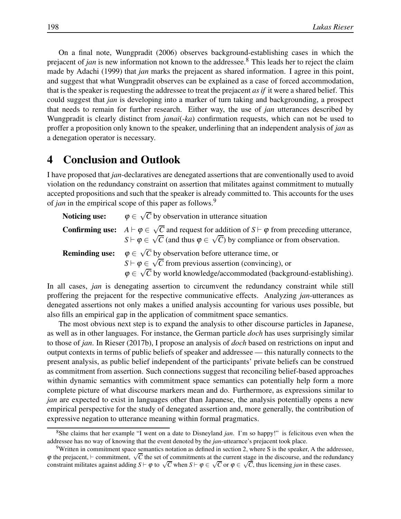On a final note, Wungpradit (2006) observes background-establishing cases in which the prejacent of *jan* is new information not known to the addressee.<sup>8</sup> This leads her to reject the claim made by Adachi (1999) that *jan* marks the prejacent as shared information. I agree in this point, and suggest that what Wungpradit observes can be explained as a case of forced accommodation, that is the speaker is requesting the addressee to treat the prejacent *as if* it were a shared belief. This could suggest that *jan* is developing into a marker of turn taking and backgrounding, a prospect that needs to remain for further research. Either way, the use of *jan* utterances described by Wungpradit is clearly distinct from *janai*(*-ka*) confirmation requests, which can not be used to proffer a proposition only known to the speaker, underlining that an independent analysis of *jan* as a denegation operator is necessary.

## 4 Conclusion and Outlook

I have proposed that *jan*-declaratives are denegated assertions that are conventionally used to avoid violation on the redundancy constraint on assertion that militates against commitment to mutually accepted propositions and such that the speaker is already committed to. This accounts for the uses of *jan* in the empirical scope of this paper as follows.<sup>9</sup>

| Noticing use:         | $\varphi \in \sqrt{C}$ by observation in utterance situation                                                                                                                                                                             |
|-----------------------|------------------------------------------------------------------------------------------------------------------------------------------------------------------------------------------------------------------------------------------|
|                       | <b>Confirming use:</b> $A \vdash \varphi \in \sqrt{C}$ and request for addition of $S \vdash \varphi$ from preceding utterance,<br>$S \vdash \varphi \in \sqrt{C}$ (and thus $\varphi \in \sqrt{C}$ ) by compliance or from observation. |
| <b>Reminding use:</b> | $\varphi \in \sqrt{C}$ by observation before utterance time, or<br>$S \vdash \varphi \in \sqrt{C}$ from previous assertion (convincing), or<br>$\varphi \in \sqrt{C}$ by world knowledge/accommodated (background-establishing).         |

In all cases, *jan* is denegating assertion to circumvent the redundancy constraint while still proffering the prejacent for the respective communicative effects. Analyzing *jan*-utterances as denegated assertions not only makes a unified analysis accounting for various uses possible, but also fills an empirical gap in the application of commitment space semantics.

The most obvious next step is to expand the analysis to other discourse particles in Japanese, as well as in other languages. For instance, the German particle *doch* has uses surprisingly similar to those of *jan*. In Rieser (2017b), I propose an analysis of *doch* based on restrictions on input and output contexts in terms of public beliefs of speaker and addressee — this naturally connects to the present analysis, as public belief independent of the participants' private beliefs can be construed as commitment from assertion. Such connections suggest that reconciling belief-based approaches within dynamic semantics with commitment space semantics can potentially help form a more complete picture of what discourse markers mean and do. Furthermore, as expressions similar to *jan* are expected to exist in languages other than Japanese, the analysis potentially opens a new empirical perspective for the study of denegated assertion and, more generally, the contribution of expressive negation to utterance meaning within formal pragmatics.

<sup>8</sup>She claims that her example "I went on a date to Disneyland *jan*. I'm so happy!" is felicitous even when the addressee has no way of knowing that the event denoted by the *jan*-uttearnce's prejacent took place.

<sup>&</sup>lt;sup>9</sup>Written in commitment space semantics notation as defined in section 2, where S is the speaker, A the addressee,  $\varphi$  the prejacent, ⊢ commitment,  $\sqrt{C}$  the set of commitments at the current stage in the discourse, and the redundancy constraint militates against adding  $S \vdash \varphi$  to  $\sqrt{C}$  when  $S \vdash \varphi \in \sqrt{C}$  or  $\varphi \in \sqrt{C}$ , thus licensing *jan* in these cases.